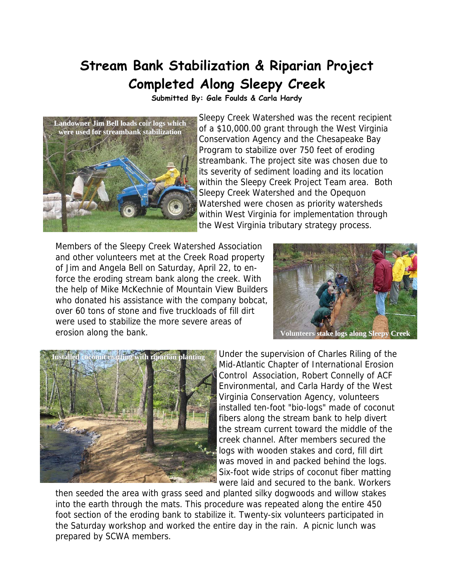## **Stream Bank Stabilization & Riparian Project Completed Along Sleepy Creek**

**Submitted By: Gale Foulds & Carla Hardy** 



Sleepy Creek Watershed was the recent recipient of a \$10,000.00 grant through the West Virginia Conservation Agency and the Chesapeake Bay Program to stabilize over 750 feet of eroding streambank. The project site was chosen due to its severity of sediment loading and its location within the Sleepy Creek Project Team area. Both Sleepy Creek Watershed and the Opequon Watershed were chosen as priority watersheds within West Virginia for implementation through the West Virginia tributary strategy process.

Members of the Sleepy Creek Watershed Association and other volunteers met at the Creek Road property of Jim and Angela Bell on Saturday, April 22, to enforce the eroding stream bank along the creek. With the help of Mike McKechnie of Mountain View Builders who donated his assistance with the company bobcat, over 60 tons of stone and five truckloads of fill dirt were used to stabilize the more severe areas of erosion along the bank.





Under the supervision of Charles Riling of the Mid-Atlantic Chapter of International Erosion Control Association, Robert Connelly of ACF Environmental, and Carla Hardy of the West Virginia Conservation Agency, volunteers installed ten-foot "bio-logs" made of coconut fibers along the stream bank to help divert the stream current toward the middle of the creek channel. After members secured the logs with wooden stakes and cord, fill dirt was moved in and packed behind the logs. Six-foot wide strips of coconut fiber matting were laid and secured to the bank. Workers

then seeded the area with grass seed and planted silky dogwoods and willow stakes into the earth through the mats. This procedure was repeated along the entire 450 foot section of the eroding bank to stabilize it. Twenty-six volunteers participated in the Saturday workshop and worked the entire day in the rain. A picnic lunch was prepared by SCWA members.